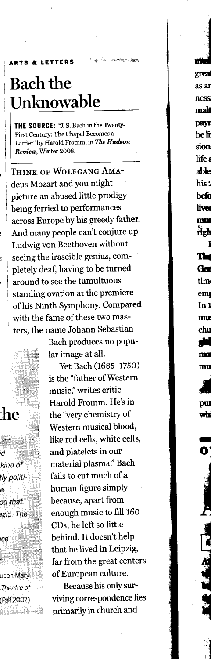## **Bach the** Unknowable

**LETTERS** 

**BTS &** 

THE SOURCE: "J. S. Bach in the Twenty-First Century: The Chapel Becomes a Larder" by Harold Fromm, in The Hudson Review, Winter 2008.

THINK OF WOLFGANG AMAdeus Mozart and you might picture an abused little prodigy being ferried to performances across Europe by his greedy father. And many people can't conjure up Ludwig von Beethoven without seeing the irascible genius, completely deaf, having to be turned around to see the tumultuous standing ovation at the premiere of his Ninth Symphony. Compared with the fame of these two masters, the name Johann Sebastian

Bach produces no popular image at all.

Yet Bach (1685-1750) is the "father of Western music," writes critic Harold Fromm. He's in the "very chemistry of Western musical blood, like red cells, white cells, and platelets in our material plasma." Bach fails to cut much of a human figure simply because, apart from enough music to fill 160 CDs, he left so little behind. It doesn't help that he lived in Leipzig, far from the great centers of European culture.

Because his only surviving correspondence lies primarily in church and

m great as ar

ness

mah payr he li sion life a able his: befo liver mu righ I Tш

> Ga tim  $em<sub>l</sub>$  $\ln 1$  $\mathbf{m}\mathbf{u}$ chu ٢Ë ma

> > mu

pu

wh

ueen Mary Theatre of (Fall 2007)

:he

d

ė

ce

kind of

od that

agic. The

tly politi-